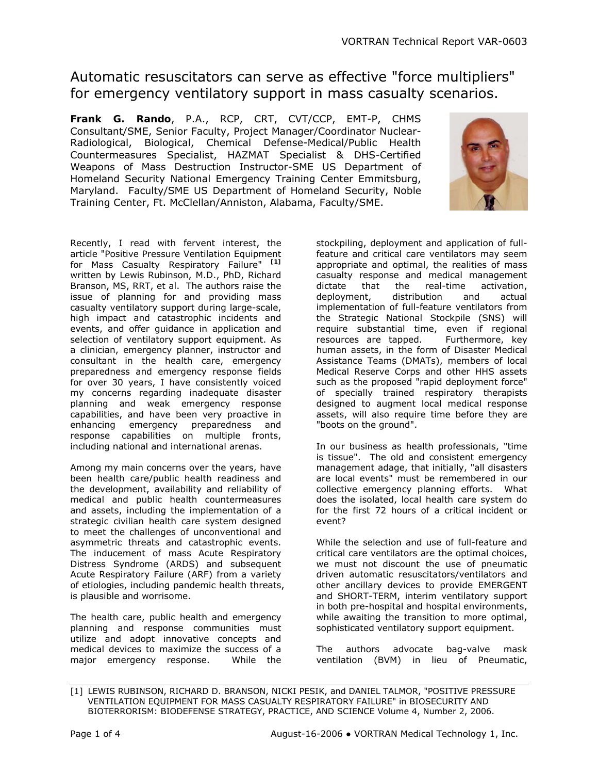# Automatic resuscitators can serve as effective "force multipliers" for emergency ventilatory support in mass casualty scenarios.

**Frank G. Rando**, P.A., RCP, CRT, CVT/CCP, EMT-P, CHMS Consultant/SME, Senior Faculty, Project Manager/Coordinator Nuclear-Radiological, Biological, Chemical Defense-Medical/Public Health Countermeasures Specialist, HAZMAT Specialist & DHS-Certified Weapons of Mass Destruction Instructor-SME US Department of Homeland Security National Emergency Training Center Emmitsburg, Maryland. Faculty/SME US Department of Homeland Security, Noble Training Center, Ft. McClellan/Anniston, Alabama, Faculty/SME.



Recently, I read with fervent interest, the article "Positive Pressure Ventilation Equipment for Mass Casualty Respiratory Failure" **[1]** written by Lewis Rubinson, M.D., PhD, Richard Branson, MS, RRT, et al. The authors raise the issue of planning for and providing mass casualty ventilatory support during large-scale, high impact and catastrophic incidents and events, and offer guidance in application and selection of ventilatory support equipment. As a clinician, emergency planner, instructor and consultant in the health care, emergency preparedness and emergency response fields for over 30 years, I have consistently voiced my concerns regarding inadequate disaster planning and weak emergency response capabilities, and have been very proactive in enhancing emergency preparedness and response capabilities on multiple fronts, including national and international arenas.

Among my main concerns over the years, have been health care/public health readiness and the development, availability and reliability of medical and public health countermeasures and assets, including the implementation of a strategic civilian health care system designed to meet the challenges of unconventional and asymmetric threats and catastrophic events. The inducement of mass Acute Respiratory Distress Syndrome (ARDS) and subsequent Acute Respiratory Failure (ARF) from a variety of etiologies, including pandemic health threats, is plausible and worrisome.

The health care, public health and emergency planning and response communities must utilize and adopt innovative concepts and medical devices to maximize the success of a major emergency response. While the

stockpiling, deployment and application of fullfeature and critical care ventilators may seem appropriate and optimal, the realities of mass casualty response and medical management dictate that the real-time activation, deployment, distribution and actual implementation of full-feature ventilators from the Strategic National Stockpile (SNS) will require substantial time, even if regional<br>resources are tapped. Furthermore, kev resources are tapped. human assets, in the form of Disaster Medical Assistance Teams (DMATs), members of local Medical Reserve Corps and other HHS assets such as the proposed "rapid deployment force" of specially trained respiratory therapists designed to augment local medical response assets, will also require time before they are "boots on the ground".

In our business as health professionals, "time is tissue". The old and consistent emergency management adage, that initially, "all disasters are local events" must be remembered in our collective emergency planning efforts. What does the isolated, local health care system do for the first 72 hours of a critical incident or event?

While the selection and use of full-feature and critical care ventilators are the optimal choices, we must not discount the use of pneumatic driven automatic resuscitators/ventilators and other ancillary devices to provide EMERGENT and SHORT-TERM, interim ventilatory support in both pre-hospital and hospital environments, while awaiting the transition to more optimal, sophisticated ventilatory support equipment.

The authors advocate bag-valve mask ventilation (BVM) in lieu of Pneumatic,

<sup>[1]</sup> LEWIS RUBINSON, RICHARD D. BRANSON, NICKI PESIK, and DANIEL TALMOR, "POSITIVE PRESSURE VENTILATION EQUIPMENT FOR MASS CASUALTY RESPIRATORY FAILURE" in BIOSECURITY AND BIOTERRORISM: BIODEFENSE STRATEGY, PRACTICE, AND SCIENCE Volume 4, Number 2, 2006.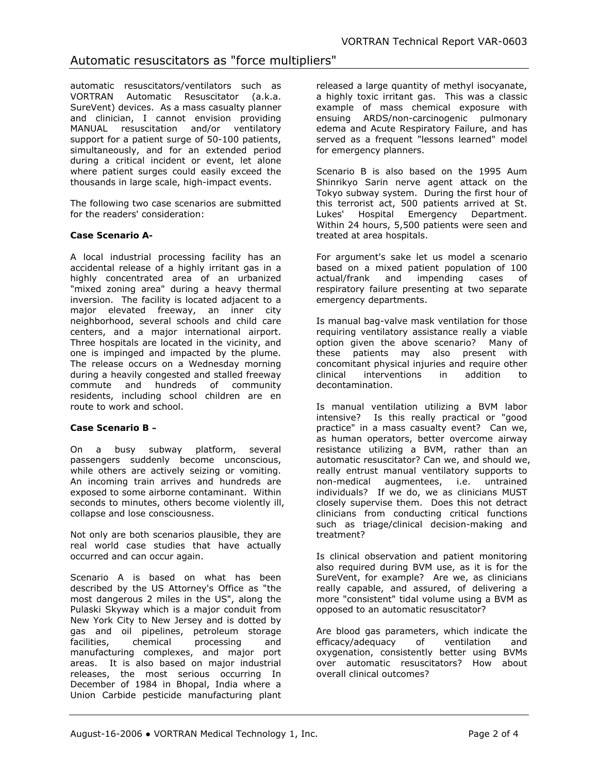### Automatic resuscitators as "force multipliers"

automatic resuscitators/ventilators such as VORTRAN Automatic Resuscitator (a.k.a. SureVent) devices. As a mass casualty planner and clinician, I cannot envision providing MANUAL resuscitation and/or ventilatory support for a patient surge of 50-100 patients, simultaneously, and for an extended period during a critical incident or event, let alone where patient surges could easily exceed the thousands in large scale, high-impact events.

The following two case scenarios are submitted for the readers' consideration:

### **Case Scenario A-**

A local industrial processing facility has an accidental release of a highly irritant gas in a highly concentrated area of an urbanized "mixed zoning area" during a heavy thermal inversion. The facility is located adjacent to a major elevated freeway, an inner city neighborhood, several schools and child care centers, and a major international airport. Three hospitals are located in the vicinity, and one is impinged and impacted by the plume. The release occurs on a Wednesday morning during a heavily congested and stalled freeway commute and hundreds of community residents, including school children are en route to work and school.

#### **Case Scenario B –**

On a busy subway platform, several passengers suddenly become unconscious, while others are actively seizing or vomiting. An incoming train arrives and hundreds are exposed to some airborne contaminant. Within seconds to minutes, others become violently ill, collapse and lose consciousness.

Not only are both scenarios plausible, they are real world case studies that have actually occurred and can occur again.

Scenario A is based on what has been described by the US Attorney's Office as "the most dangerous 2 miles in the US", along the Pulaski Skyway which is a major conduit from New York City to New Jersey and is dotted by gas and oil pipelines, petroleum storage facilities, chemical processing and manufacturing complexes, and major port areas. It is also based on major industrial releases, the most serious occurring In December of 1984 in Bhopal, India where a Union Carbide pesticide manufacturing plant

released a large quantity of methyl isocyanate, a highly toxic irritant gas. This was a classic example of mass chemical exposure with ensuing ARDS/non-carcinogenic pulmonary edema and Acute Respiratory Failure, and has served as a frequent "lessons learned" model for emergency planners.

Scenario B is also based on the 1995 Aum Shinrikyo Sarin nerve agent attack on the Tokyo subway system. During the first hour of this terrorist act, 500 patients arrived at St. Lukes' Hospital Emergency Department. Within 24 hours, 5,500 patients were seen and treated at area hospitals.

For argument's sake let us model a scenario based on a mixed patient population of 100 actual/frank and impending cases of respiratory failure presenting at two separate emergency departments.

Is manual bag-valve mask ventilation for those requiring ventilatory assistance really a viable option given the above scenario? Many of these patients may also present with concomitant physical injuries and require other clinical interventions in addition to decontamination.

Is manual ventilation utilizing a BVM labor intensive? Is this really practical or "good practice" in a mass casualty event? Can we, as human operators, better overcome airway resistance utilizing a BVM, rather than an automatic resuscitator? Can we, and should we, really entrust manual ventilatory supports to non-medical augmentees, i.e. untrained individuals? If we do, we as clinicians MUST closely supervise them. Does this not detract clinicians from conducting critical functions such as triage/clinical decision-making and treatment?

Is clinical observation and patient monitoring also required during BVM use, as it is for the SureVent, for example? Are we, as clinicians really capable, and assured, of delivering a more "consistent" tidal volume using a BVM as opposed to an automatic resuscitator?

Are blood gas parameters, which indicate the efficacy/adequacy of ventilation and oxygenation, consistently better using BVMs over automatic resuscitators? How about overall clinical outcomes?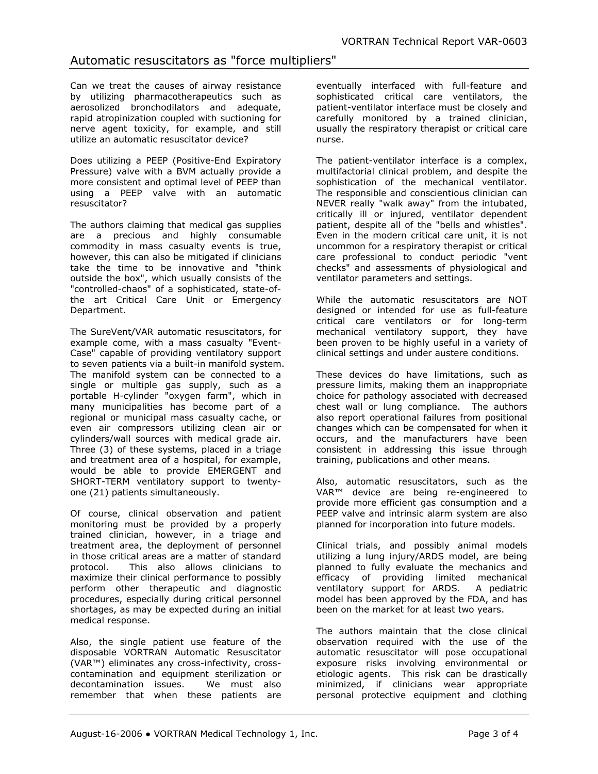## Automatic resuscitators as "force multipliers"

Can we treat the causes of airway resistance by utilizing pharmacotherapeutics such as aerosolized bronchodilators and adequate, rapid atropinization coupled with suctioning for nerve agent toxicity, for example, and still utilize an automatic resuscitator device?

Does utilizing a PEEP (Positive-End Expiratory Pressure) valve with a BVM actually provide a more consistent and optimal level of PEEP than using a PEEP valve with an automatic resuscitator?

The authors claiming that medical gas supplies are a precious and highly consumable commodity in mass casualty events is true, however, this can also be mitigated if clinicians take the time to be innovative and "think outside the box", which usually consists of the "controlled-chaos" of a sophisticated, state-ofthe art Critical Care Unit or Emergency Department.

The SureVent/VAR automatic resuscitators, for example come, with a mass casualty "Event-Case" capable of providing ventilatory support to seven patients via a built-in manifold system. The manifold system can be connected to a single or multiple gas supply, such as a portable H-cylinder "oxygen farm", which in many municipalities has become part of a regional or municipal mass casualty cache, or even air compressors utilizing clean air or cylinders/wall sources with medical grade air. Three (3) of these systems, placed in a triage and treatment area of a hospital, for example, would be able to provide EMERGENT and SHORT-TERM ventilatory support to twentyone (21) patients simultaneously.

Of course, clinical observation and patient monitoring must be provided by a properly trained clinician, however, in a triage and treatment area, the deployment of personnel in those critical areas are a matter of standard protocol. This also allows clinicians to maximize their clinical performance to possibly perform other therapeutic and diagnostic procedures, especially during critical personnel shortages, as may be expected during an initial medical response.

Also, the single patient use feature of the disposable VORTRAN Automatic Resuscitator (VAR™) eliminates any cross-infectivity, crosscontamination and equipment sterilization or decontamination issues. We must also remember that when these patients are

eventually interfaced with full-feature and sophisticated critical care ventilators, the patient-ventilator interface must be closely and carefully monitored by a trained clinician, usually the respiratory therapist or critical care nurse.

The patient-ventilator interface is a complex, multifactorial clinical problem, and despite the sophistication of the mechanical ventilator. The responsible and conscientious clinician can NEVER really "walk away" from the intubated, critically ill or injured, ventilator dependent patient, despite all of the "bells and whistles". Even in the modern critical care unit, it is not uncommon for a respiratory therapist or critical care professional to conduct periodic "vent checks" and assessments of physiological and ventilator parameters and settings.

While the automatic resuscitators are NOT designed or intended for use as full-feature critical care ventilators or for long-term mechanical ventilatory support, they have been proven to be highly useful in a variety of clinical settings and under austere conditions.

These devices do have limitations, such as pressure limits, making them an inappropriate choice for pathology associated with decreased chest wall or lung compliance. The authors also report operational failures from positional changes which can be compensated for when it occurs, and the manufacturers have been consistent in addressing this issue through training, publications and other means.

Also, automatic resuscitators, such as the VAR™ device are being re-engineered to provide more efficient gas consumption and a PEEP valve and intrinsic alarm system are also planned for incorporation into future models.

Clinical trials, and possibly animal models utilizing a lung injury/ARDS model, are being planned to fully evaluate the mechanics and efficacy of providing limited mechanical ventilatory support for ARDS. A pediatric model has been approved by the FDA, and has been on the market for at least two years.

The authors maintain that the close clinical observation required with the use of the automatic resuscitator will pose occupational exposure risks involving environmental or etiologic agents. This risk can be drastically minimized, if clinicians wear appropriate personal protective equipment and clothing